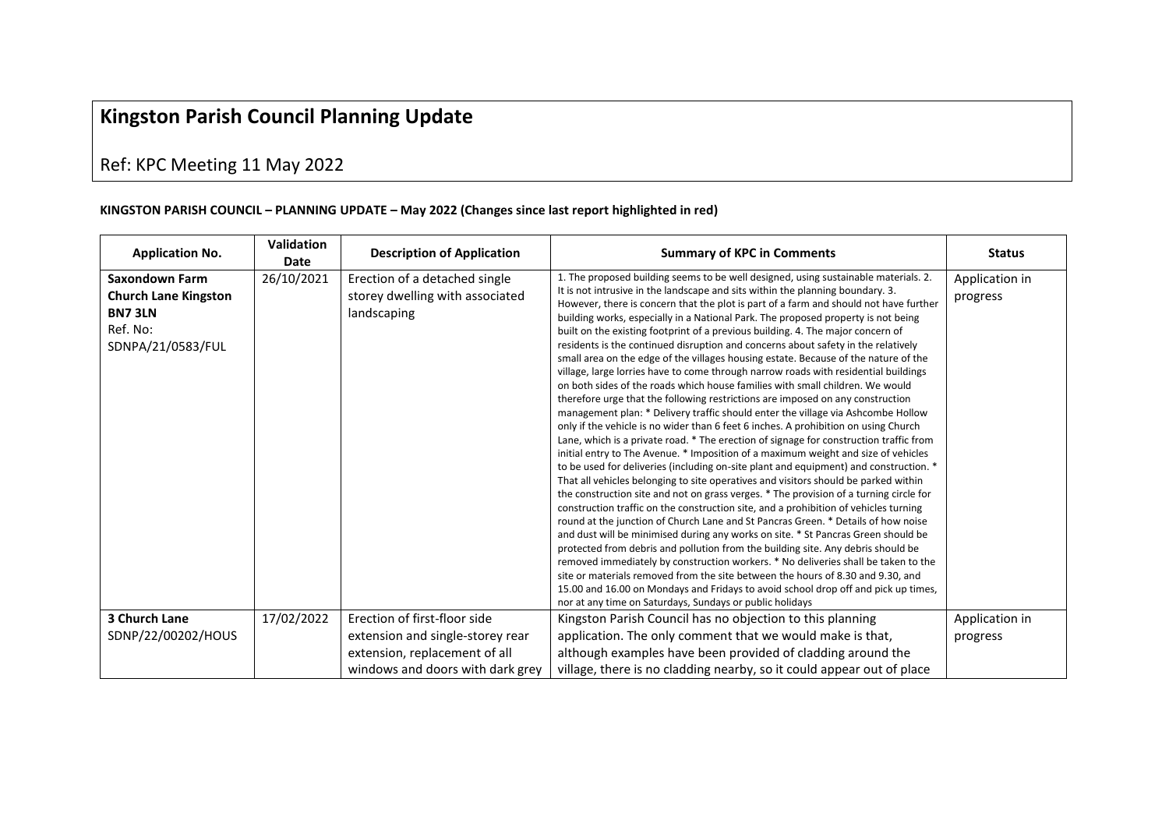## **Kingston Parish Council Planning Update**

## Ref: KPC Meeting 11 May 2022

## **KINGSTON PARISH COUNCIL – PLANNING UPDATE – May 2022 (Changes since last report highlighted in red)**

| <b>Application No.</b>                                                                                 | <b>Validation</b><br>Date | <b>Description of Application</b>                                               | <b>Summary of KPC in Comments</b>                                                                                                                                                                                                                                                                                                                                                                                                                                                                                                                                                                                                                                                                                                                                                                                                                                                                                                                                                                                                                                                                                                                                                                                                                                                                                                                                                                                                                                                                                                                                                                                                                                                                                                                                                                                                                                                                                                                                                                                                                                                                                                                                                                  | <b>Status</b>              |
|--------------------------------------------------------------------------------------------------------|---------------------------|---------------------------------------------------------------------------------|----------------------------------------------------------------------------------------------------------------------------------------------------------------------------------------------------------------------------------------------------------------------------------------------------------------------------------------------------------------------------------------------------------------------------------------------------------------------------------------------------------------------------------------------------------------------------------------------------------------------------------------------------------------------------------------------------------------------------------------------------------------------------------------------------------------------------------------------------------------------------------------------------------------------------------------------------------------------------------------------------------------------------------------------------------------------------------------------------------------------------------------------------------------------------------------------------------------------------------------------------------------------------------------------------------------------------------------------------------------------------------------------------------------------------------------------------------------------------------------------------------------------------------------------------------------------------------------------------------------------------------------------------------------------------------------------------------------------------------------------------------------------------------------------------------------------------------------------------------------------------------------------------------------------------------------------------------------------------------------------------------------------------------------------------------------------------------------------------------------------------------------------------------------------------------------------------|----------------------------|
| <b>Saxondown Farm</b><br><b>Church Lane Kingston</b><br><b>BN73LN</b><br>Ref. No:<br>SDNPA/21/0583/FUL | 26/10/2021                | Erection of a detached single<br>storey dwelling with associated<br>landscaping | 1. The proposed building seems to be well designed, using sustainable materials. 2.<br>It is not intrusive in the landscape and sits within the planning boundary. 3.<br>However, there is concern that the plot is part of a farm and should not have further<br>building works, especially in a National Park. The proposed property is not being<br>built on the existing footprint of a previous building. 4. The major concern of<br>residents is the continued disruption and concerns about safety in the relatively<br>small area on the edge of the villages housing estate. Because of the nature of the<br>village, large lorries have to come through narrow roads with residential buildings<br>on both sides of the roads which house families with small children. We would<br>therefore urge that the following restrictions are imposed on any construction<br>management plan: * Delivery traffic should enter the village via Ashcombe Hollow<br>only if the vehicle is no wider than 6 feet 6 inches. A prohibition on using Church<br>Lane, which is a private road. * The erection of signage for construction traffic from<br>initial entry to The Avenue. * Imposition of a maximum weight and size of vehicles<br>to be used for deliveries (including on-site plant and equipment) and construction. *<br>That all vehicles belonging to site operatives and visitors should be parked within<br>the construction site and not on grass verges. * The provision of a turning circle for<br>construction traffic on the construction site, and a prohibition of vehicles turning<br>round at the junction of Church Lane and St Pancras Green. * Details of how noise<br>and dust will be minimised during any works on site. * St Pancras Green should be<br>protected from debris and pollution from the building site. Any debris should be<br>removed immediately by construction workers. * No deliveries shall be taken to the<br>site or materials removed from the site between the hours of 8.30 and 9.30, and<br>15.00 and 16.00 on Mondays and Fridays to avoid school drop off and pick up times,<br>nor at any time on Saturdays, Sundays or public holidays | Application in<br>progress |
| 3 Church Lane                                                                                          | 17/02/2022                | Erection of first-floor side                                                    | Kingston Parish Council has no objection to this planning                                                                                                                                                                                                                                                                                                                                                                                                                                                                                                                                                                                                                                                                                                                                                                                                                                                                                                                                                                                                                                                                                                                                                                                                                                                                                                                                                                                                                                                                                                                                                                                                                                                                                                                                                                                                                                                                                                                                                                                                                                                                                                                                          | Application in             |
| SDNP/22/00202/HOUS                                                                                     |                           | extension and single-storey rear                                                | application. The only comment that we would make is that,                                                                                                                                                                                                                                                                                                                                                                                                                                                                                                                                                                                                                                                                                                                                                                                                                                                                                                                                                                                                                                                                                                                                                                                                                                                                                                                                                                                                                                                                                                                                                                                                                                                                                                                                                                                                                                                                                                                                                                                                                                                                                                                                          | progress                   |
|                                                                                                        |                           | extension, replacement of all                                                   | although examples have been provided of cladding around the                                                                                                                                                                                                                                                                                                                                                                                                                                                                                                                                                                                                                                                                                                                                                                                                                                                                                                                                                                                                                                                                                                                                                                                                                                                                                                                                                                                                                                                                                                                                                                                                                                                                                                                                                                                                                                                                                                                                                                                                                                                                                                                                        |                            |
|                                                                                                        |                           | windows and doors with dark grey                                                | village, there is no cladding nearby, so it could appear out of place                                                                                                                                                                                                                                                                                                                                                                                                                                                                                                                                                                                                                                                                                                                                                                                                                                                                                                                                                                                                                                                                                                                                                                                                                                                                                                                                                                                                                                                                                                                                                                                                                                                                                                                                                                                                                                                                                                                                                                                                                                                                                                                              |                            |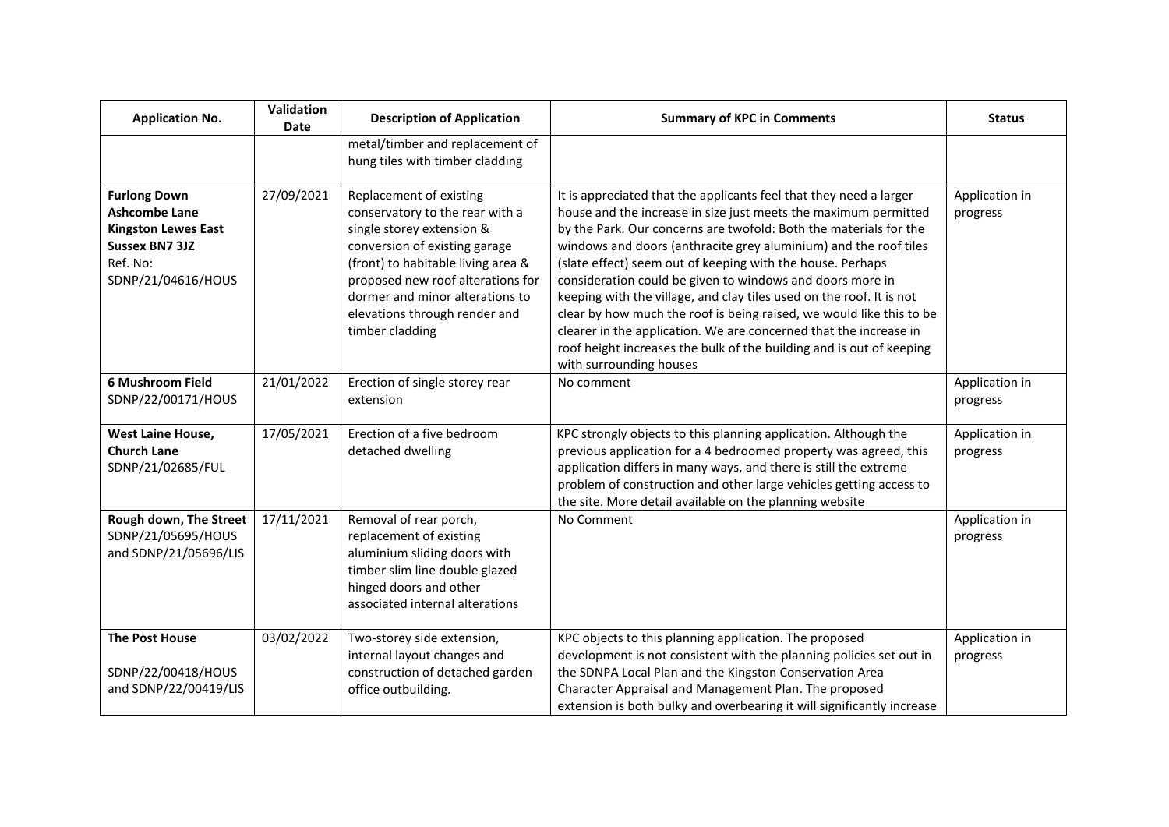| <b>Application No.</b>                                                                                                               | Validation<br>Date | <b>Description of Application</b>                                                                                                                                                                                                                                                          | <b>Summary of KPC in Comments</b>                                                                                                                                                                                                                                                                                                                                                                                                                                                                                                                                                                                                                                                                                                 | <b>Status</b>              |
|--------------------------------------------------------------------------------------------------------------------------------------|--------------------|--------------------------------------------------------------------------------------------------------------------------------------------------------------------------------------------------------------------------------------------------------------------------------------------|-----------------------------------------------------------------------------------------------------------------------------------------------------------------------------------------------------------------------------------------------------------------------------------------------------------------------------------------------------------------------------------------------------------------------------------------------------------------------------------------------------------------------------------------------------------------------------------------------------------------------------------------------------------------------------------------------------------------------------------|----------------------------|
|                                                                                                                                      |                    | metal/timber and replacement of<br>hung tiles with timber cladding                                                                                                                                                                                                                         |                                                                                                                                                                                                                                                                                                                                                                                                                                                                                                                                                                                                                                                                                                                                   |                            |
| <b>Furlong Down</b><br><b>Ashcombe Lane</b><br><b>Kingston Lewes East</b><br><b>Sussex BN7 3JZ</b><br>Ref. No:<br>SDNP/21/04616/HOUS | 27/09/2021         | Replacement of existing<br>conservatory to the rear with a<br>single storey extension &<br>conversion of existing garage<br>(front) to habitable living area &<br>proposed new roof alterations for<br>dormer and minor alterations to<br>elevations through render and<br>timber cladding | It is appreciated that the applicants feel that they need a larger<br>house and the increase in size just meets the maximum permitted<br>by the Park. Our concerns are twofold: Both the materials for the<br>windows and doors (anthracite grey aluminium) and the roof tiles<br>(slate effect) seem out of keeping with the house. Perhaps<br>consideration could be given to windows and doors more in<br>keeping with the village, and clay tiles used on the roof. It is not<br>clear by how much the roof is being raised, we would like this to be<br>clearer in the application. We are concerned that the increase in<br>roof height increases the bulk of the building and is out of keeping<br>with surrounding houses | Application in<br>progress |
| 6 Mushroom Field<br>SDNP/22/00171/HOUS                                                                                               | 21/01/2022         | Erection of single storey rear<br>extension                                                                                                                                                                                                                                                | No comment                                                                                                                                                                                                                                                                                                                                                                                                                                                                                                                                                                                                                                                                                                                        | Application in<br>progress |
| West Laine House,<br><b>Church Lane</b><br>SDNP/21/02685/FUL                                                                         | 17/05/2021         | Erection of a five bedroom<br>detached dwelling                                                                                                                                                                                                                                            | KPC strongly objects to this planning application. Although the<br>previous application for a 4 bedroomed property was agreed, this<br>application differs in many ways, and there is still the extreme<br>problem of construction and other large vehicles getting access to<br>the site. More detail available on the planning website                                                                                                                                                                                                                                                                                                                                                                                          | Application in<br>progress |
| Rough down, The Street<br>SDNP/21/05695/HOUS<br>and SDNP/21/05696/LIS                                                                | 17/11/2021         | Removal of rear porch,<br>replacement of existing<br>aluminium sliding doors with<br>timber slim line double glazed<br>hinged doors and other<br>associated internal alterations                                                                                                           | No Comment                                                                                                                                                                                                                                                                                                                                                                                                                                                                                                                                                                                                                                                                                                                        | Application in<br>progress |
| <b>The Post House</b><br>SDNP/22/00418/HOUS<br>and SDNP/22/00419/LIS                                                                 | 03/02/2022         | Two-storey side extension,<br>internal layout changes and<br>construction of detached garden<br>office outbuilding.                                                                                                                                                                        | KPC objects to this planning application. The proposed<br>development is not consistent with the planning policies set out in<br>the SDNPA Local Plan and the Kingston Conservation Area<br>Character Appraisal and Management Plan. The proposed<br>extension is both bulky and overbearing it will significantly increase                                                                                                                                                                                                                                                                                                                                                                                                       | Application in<br>progress |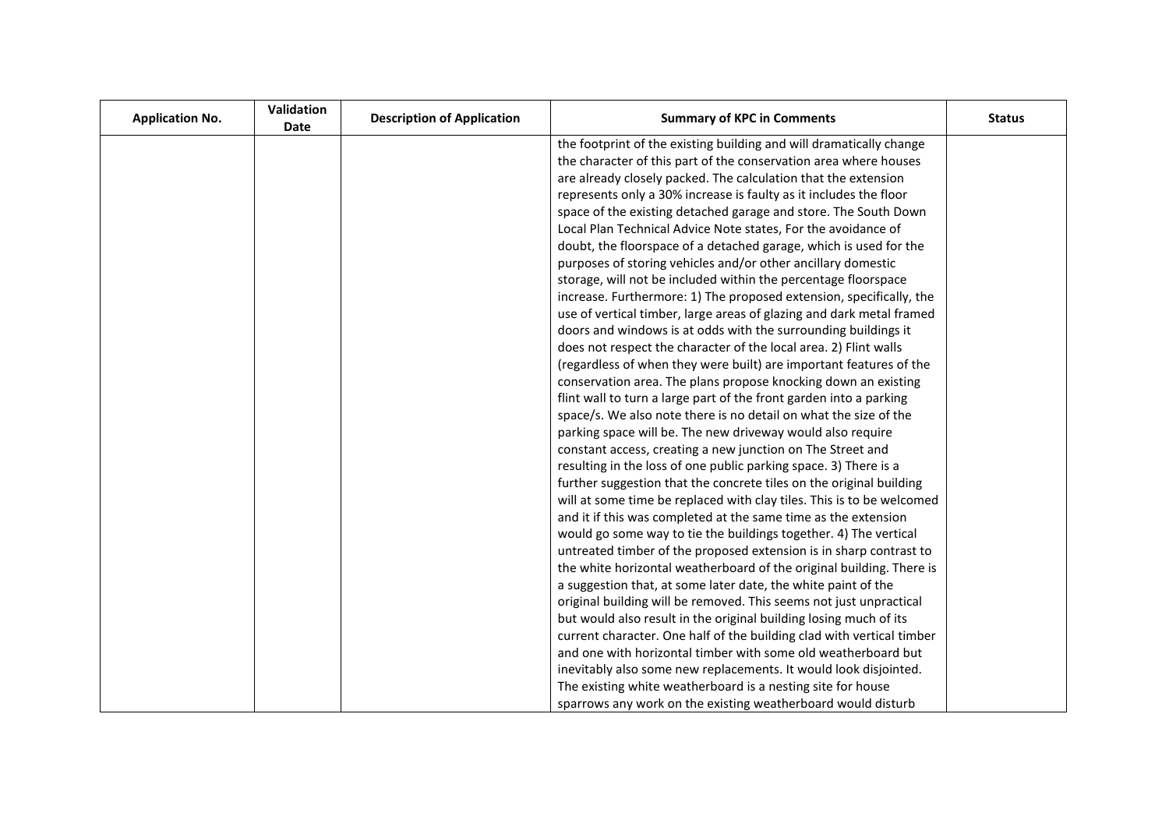| <b>Application No.</b> | Validation<br><b>Date</b> | <b>Description of Application</b> | <b>Summary of KPC in Comments</b>                                     | <b>Status</b> |
|------------------------|---------------------------|-----------------------------------|-----------------------------------------------------------------------|---------------|
|                        |                           |                                   | the footprint of the existing building and will dramatically change   |               |
|                        |                           |                                   | the character of this part of the conservation area where houses      |               |
|                        |                           |                                   | are already closely packed. The calculation that the extension        |               |
|                        |                           |                                   | represents only a 30% increase is faulty as it includes the floor     |               |
|                        |                           |                                   | space of the existing detached garage and store. The South Down       |               |
|                        |                           |                                   | Local Plan Technical Advice Note states, For the avoidance of         |               |
|                        |                           |                                   | doubt, the floorspace of a detached garage, which is used for the     |               |
|                        |                           |                                   | purposes of storing vehicles and/or other ancillary domestic          |               |
|                        |                           |                                   | storage, will not be included within the percentage floorspace        |               |
|                        |                           |                                   | increase. Furthermore: 1) The proposed extension, specifically, the   |               |
|                        |                           |                                   | use of vertical timber, large areas of glazing and dark metal framed  |               |
|                        |                           |                                   | doors and windows is at odds with the surrounding buildings it        |               |
|                        |                           |                                   | does not respect the character of the local area. 2) Flint walls      |               |
|                        |                           |                                   | (regardless of when they were built) are important features of the    |               |
|                        |                           |                                   | conservation area. The plans propose knocking down an existing        |               |
|                        |                           |                                   | flint wall to turn a large part of the front garden into a parking    |               |
|                        |                           |                                   | space/s. We also note there is no detail on what the size of the      |               |
|                        |                           |                                   | parking space will be. The new driveway would also require            |               |
|                        |                           |                                   | constant access, creating a new junction on The Street and            |               |
|                        |                           |                                   | resulting in the loss of one public parking space. 3) There is a      |               |
|                        |                           |                                   | further suggestion that the concrete tiles on the original building   |               |
|                        |                           |                                   | will at some time be replaced with clay tiles. This is to be welcomed |               |
|                        |                           |                                   | and it if this was completed at the same time as the extension        |               |
|                        |                           |                                   | would go some way to tie the buildings together. 4) The vertical      |               |
|                        |                           |                                   | untreated timber of the proposed extension is in sharp contrast to    |               |
|                        |                           |                                   | the white horizontal weatherboard of the original building. There is  |               |
|                        |                           |                                   | a suggestion that, at some later date, the white paint of the         |               |
|                        |                           |                                   | original building will be removed. This seems not just unpractical    |               |
|                        |                           |                                   | but would also result in the original building losing much of its     |               |
|                        |                           |                                   | current character. One half of the building clad with vertical timber |               |
|                        |                           |                                   | and one with horizontal timber with some old weatherboard but         |               |
|                        |                           |                                   | inevitably also some new replacements. It would look disjointed.      |               |
|                        |                           |                                   | The existing white weatherboard is a nesting site for house           |               |
|                        |                           |                                   | sparrows any work on the existing weatherboard would disturb          |               |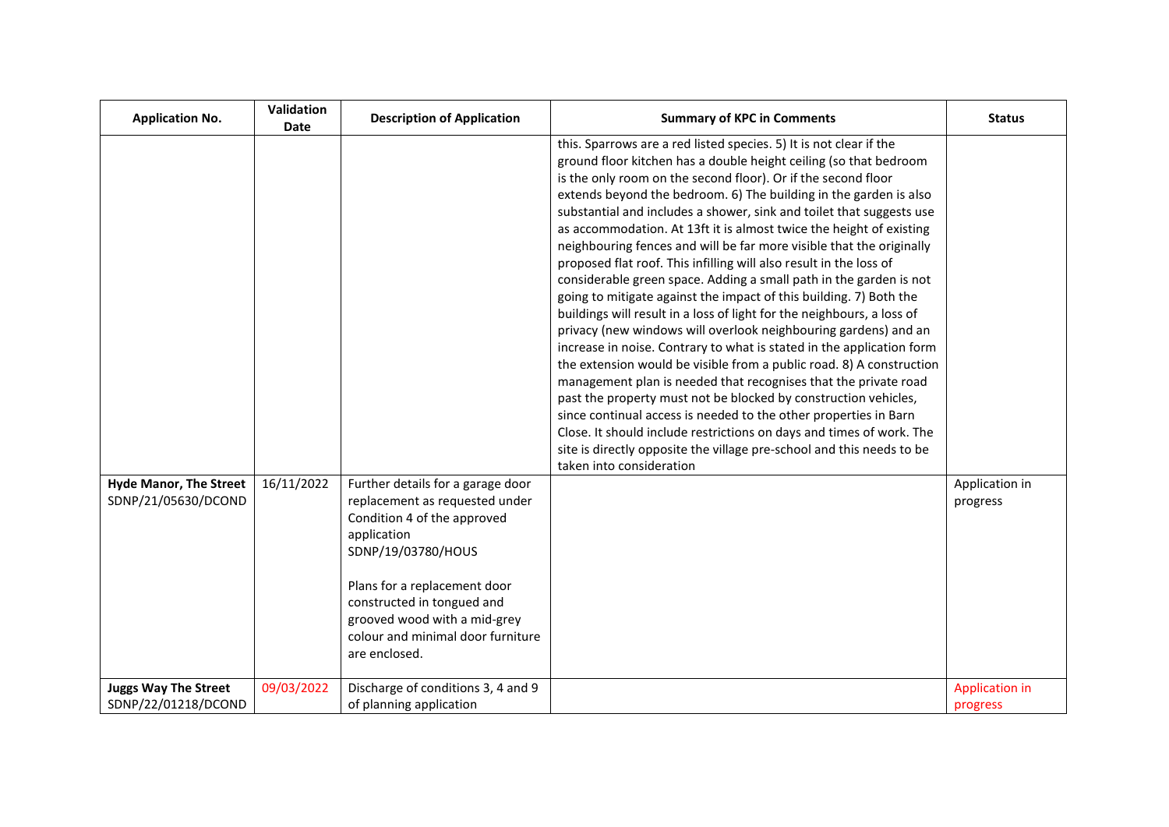| <b>Application No.</b>                               | Validation<br>Date | <b>Description of Application</b>                                                                                                                                                                                                                                                           | <b>Summary of KPC in Comments</b>                                                                                                                                                                                                                                                                                                                                                                                                                                                                                                                                                                                                                                                                                                                                                                                                                                                                                                                                                                                                                                                                                                                                                                                                                                                                                                                                                                           | <b>Status</b>                     |
|------------------------------------------------------|--------------------|---------------------------------------------------------------------------------------------------------------------------------------------------------------------------------------------------------------------------------------------------------------------------------------------|-------------------------------------------------------------------------------------------------------------------------------------------------------------------------------------------------------------------------------------------------------------------------------------------------------------------------------------------------------------------------------------------------------------------------------------------------------------------------------------------------------------------------------------------------------------------------------------------------------------------------------------------------------------------------------------------------------------------------------------------------------------------------------------------------------------------------------------------------------------------------------------------------------------------------------------------------------------------------------------------------------------------------------------------------------------------------------------------------------------------------------------------------------------------------------------------------------------------------------------------------------------------------------------------------------------------------------------------------------------------------------------------------------------|-----------------------------------|
|                                                      |                    |                                                                                                                                                                                                                                                                                             | this. Sparrows are a red listed species. 5) It is not clear if the<br>ground floor kitchen has a double height ceiling (so that bedroom<br>is the only room on the second floor). Or if the second floor<br>extends beyond the bedroom. 6) The building in the garden is also<br>substantial and includes a shower, sink and toilet that suggests use<br>as accommodation. At 13ft it is almost twice the height of existing<br>neighbouring fences and will be far more visible that the originally<br>proposed flat roof. This infilling will also result in the loss of<br>considerable green space. Adding a small path in the garden is not<br>going to mitigate against the impact of this building. 7) Both the<br>buildings will result in a loss of light for the neighbours, a loss of<br>privacy (new windows will overlook neighbouring gardens) and an<br>increase in noise. Contrary to what is stated in the application form<br>the extension would be visible from a public road. 8) A construction<br>management plan is needed that recognises that the private road<br>past the property must not be blocked by construction vehicles,<br>since continual access is needed to the other properties in Barn<br>Close. It should include restrictions on days and times of work. The<br>site is directly opposite the village pre-school and this needs to be<br>taken into consideration |                                   |
| <b>Hyde Manor, The Street</b><br>SDNP/21/05630/DCOND | 16/11/2022         | Further details for a garage door<br>replacement as requested under<br>Condition 4 of the approved<br>application<br>SDNP/19/03780/HOUS<br>Plans for a replacement door<br>constructed in tongued and<br>grooved wood with a mid-grey<br>colour and minimal door furniture<br>are enclosed. |                                                                                                                                                                                                                                                                                                                                                                                                                                                                                                                                                                                                                                                                                                                                                                                                                                                                                                                                                                                                                                                                                                                                                                                                                                                                                                                                                                                                             | Application in<br>progress        |
| <b>Juggs Way The Street</b><br>SDNP/22/01218/DCOND   | 09/03/2022         | Discharge of conditions 3, 4 and 9<br>of planning application                                                                                                                                                                                                                               |                                                                                                                                                                                                                                                                                                                                                                                                                                                                                                                                                                                                                                                                                                                                                                                                                                                                                                                                                                                                                                                                                                                                                                                                                                                                                                                                                                                                             | <b>Application in</b><br>progress |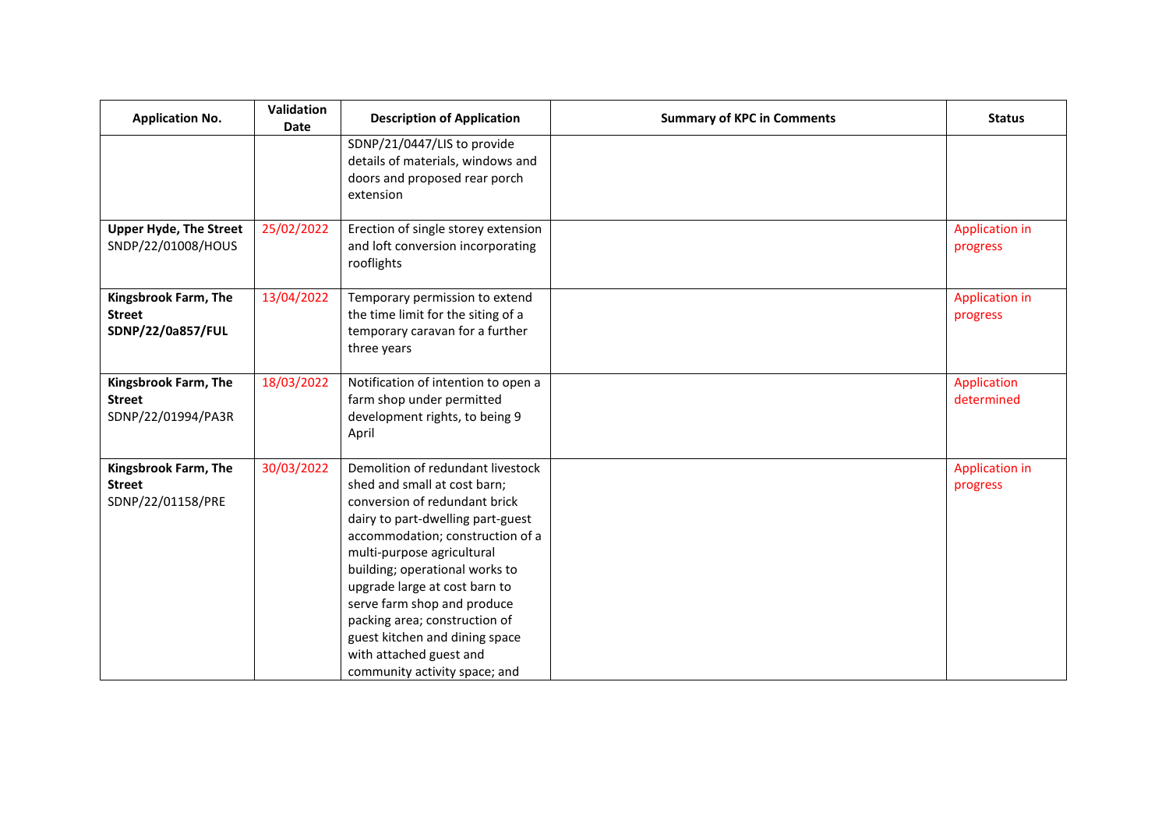| <b>Application No.</b>                                      | Validation<br><b>Date</b> | <b>Description of Application</b>                                                                                                                                                                                                                                                                                                                                                                                                          | <b>Summary of KPC in Comments</b> | <b>Status</b>                     |
|-------------------------------------------------------------|---------------------------|--------------------------------------------------------------------------------------------------------------------------------------------------------------------------------------------------------------------------------------------------------------------------------------------------------------------------------------------------------------------------------------------------------------------------------------------|-----------------------------------|-----------------------------------|
|                                                             |                           | SDNP/21/0447/LIS to provide<br>details of materials, windows and<br>doors and proposed rear porch<br>extension                                                                                                                                                                                                                                                                                                                             |                                   |                                   |
| <b>Upper Hyde, The Street</b><br>SNDP/22/01008/HOUS         | 25/02/2022                | Erection of single storey extension<br>and loft conversion incorporating<br>rooflights                                                                                                                                                                                                                                                                                                                                                     |                                   | <b>Application in</b><br>progress |
| Kingsbrook Farm, The<br><b>Street</b><br>SDNP/22/0a857/FUL  | 13/04/2022                | Temporary permission to extend<br>the time limit for the siting of a<br>temporary caravan for a further<br>three years                                                                                                                                                                                                                                                                                                                     |                                   | <b>Application in</b><br>progress |
| Kingsbrook Farm, The<br><b>Street</b><br>SDNP/22/01994/PA3R | 18/03/2022                | Notification of intention to open a<br>farm shop under permitted<br>development rights, to being 9<br>April                                                                                                                                                                                                                                                                                                                                |                                   | Application<br>determined         |
| Kingsbrook Farm, The<br><b>Street</b><br>SDNP/22/01158/PRE  | 30/03/2022                | Demolition of redundant livestock<br>shed and small at cost barn;<br>conversion of redundant brick<br>dairy to part-dwelling part-guest<br>accommodation; construction of a<br>multi-purpose agricultural<br>building; operational works to<br>upgrade large at cost barn to<br>serve farm shop and produce<br>packing area; construction of<br>guest kitchen and dining space<br>with attached guest and<br>community activity space; and |                                   | <b>Application in</b><br>progress |